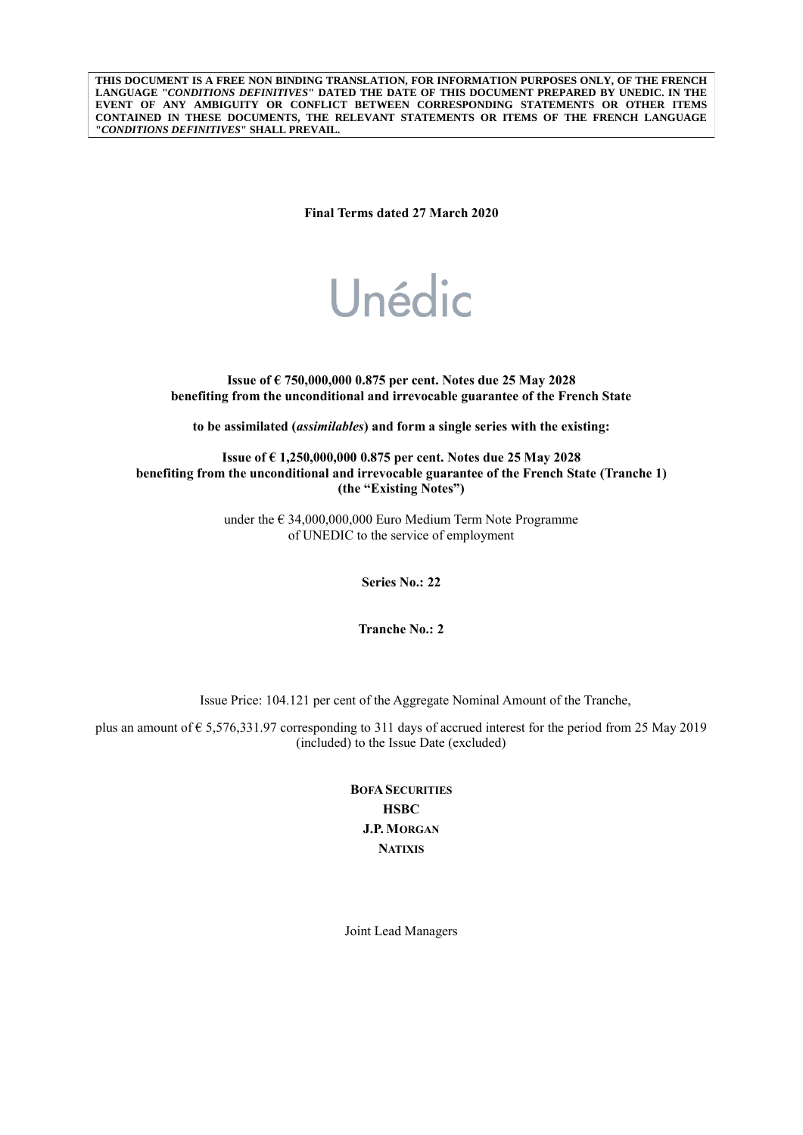**THIS DOCUMENT IS A FREE NON BINDING TRANSLATION, FOR INFORMATION PURPOSES ONLY, OF THE FRENCH LANGUAGE "***CONDITIONS DEFINITIVES***" DATED THE DATE OF THIS DOCUMENT PREPARED BY UNEDIC. IN THE EVENT OF ANY AMBIGUITY OR CONFLICT BETWEEN CORRESPONDING STATEMENTS OR OTHER ITEMS CONTAINED IN THESE DOCUMENTS, THE RELEVANT STATEMENTS OR ITEMS OF THE FRENCH LANGUAGE "***CONDITIONS DEFINITIVES***" SHALL PREVAIL.**

**Final Terms dated 27 March 2020**

# Unédic

**Issue of € 750,000,000 0.875 per cent. Notes due 25 May 2028 benefiting from the unconditional and irrevocable guarantee of the French State**

**to be assimilated (***assimilables***) and form a single series with the existing:**

**Issue of € 1,250,000,000 0.875 per cent. Notes due 25 May 2028 benefiting from the unconditional and irrevocable guarantee of the French State (Tranche 1) (the "Existing Notes")**

> under the € 34,000,000,000 Euro Medium Term Note Programme of UNEDIC to the service of employment

> > **Series No.: 22**

**Tranche No.: 2**

Issue Price: 104.121 per cent of the Aggregate Nominal Amount of the Tranche,

plus an amount of € 5,576,331.97 corresponding to 311 days of accrued interest for the period from 25 May 2019 (included) to the Issue Date (excluded)

> **BOFA SECURITIES HSBC J.P. MORGAN NATIXIS**

Joint Lead Managers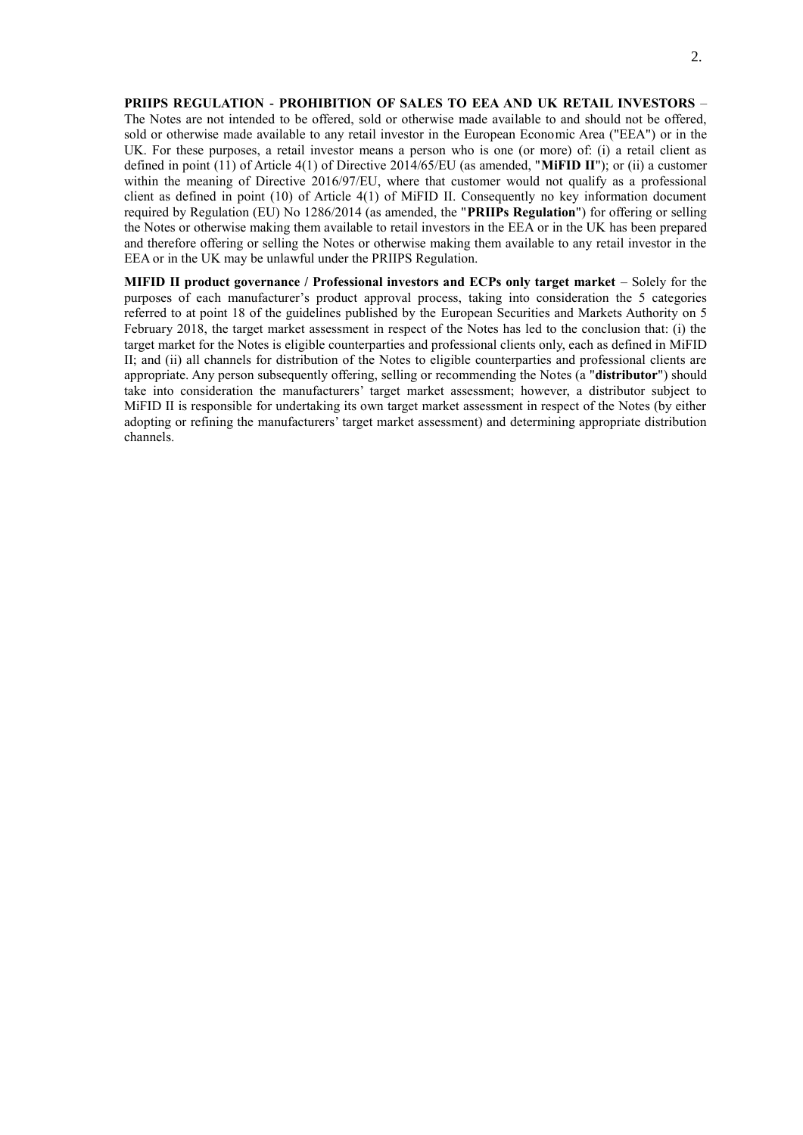**PRIIPS REGULATION - PROHIBITION OF SALES TO EEA AND UK RETAIL INVESTORS** – The Notes are not intended to be offered, sold or otherwise made available to and should not be offered, sold or otherwise made available to any retail investor in the European Economic Area ("EEA") or in the UK. For these purposes, a retail investor means a person who is one (or more) of: (i) a retail client as defined in point (11) of Article 4(1) of Directive 2014/65/EU (as amended, "**MiFID II**"); or (ii) a customer within the meaning of Directive 2016/97/EU, where that customer would not qualify as a professional client as defined in point (10) of Article 4(1) of MiFID II. Consequently no key information document required by Regulation (EU) No 1286/2014 (as amended, the "**PRIIPs Regulation**") for offering or selling the Notes or otherwise making them available to retail investors in the EEA or in the UK has been prepared and therefore offering or selling the Notes or otherwise making them available to any retail investor in the EEA or in the UK may be unlawful under the PRIIPS Regulation.

**MIFID II product governance / Professional investors and ECPs only target market** – Solely for the purposes of each manufacturer's product approval process, taking into consideration the 5 categories referred to at point 18 of the guidelines published by the European Securities and Markets Authority on 5 February 2018, the target market assessment in respect of the Notes has led to the conclusion that: (i) the target market for the Notes is eligible counterparties and professional clients only, each as defined in MiFID II; and (ii) all channels for distribution of the Notes to eligible counterparties and professional clients are appropriate. Any person subsequently offering, selling or recommending the Notes (a "**distributor**") should take into consideration the manufacturers' target market assessment; however, a distributor subject to MiFID II is responsible for undertaking its own target market assessment in respect of the Notes (by either adopting or refining the manufacturers' target market assessment) and determining appropriate distribution channels.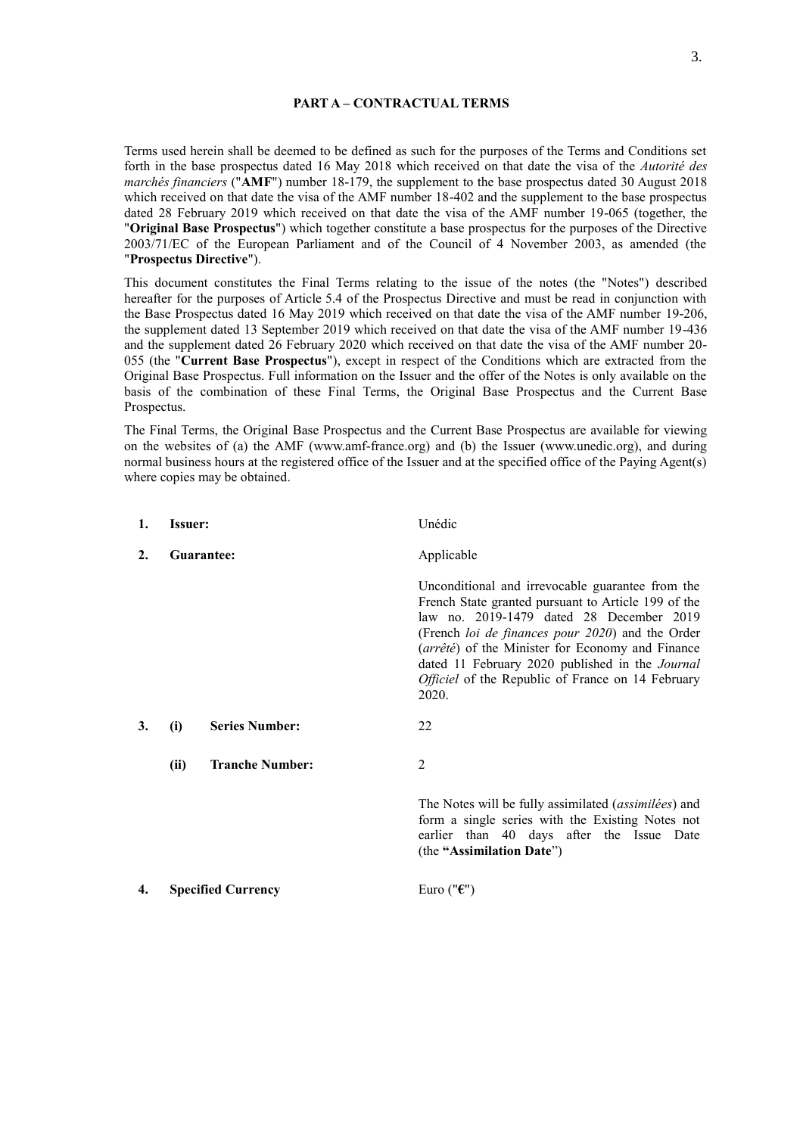#### **PART A – CONTRACTUAL TERMS**

Terms used herein shall be deemed to be defined as such for the purposes of the Terms and Conditions set forth in the base prospectus dated 16 May 2018 which received on that date the visa of the *Autorité des marchés financiers* ("**AMF**") number 18-179, the supplement to the base prospectus dated 30 August 2018 which received on that date the visa of the AMF number 18-402 and the supplement to the base prospectus dated 28 February 2019 which received on that date the visa of the AMF number 19-065 (together, the "**Original Base Prospectus**") which together constitute a base prospectus for the purposes of the Directive 2003/71/EC of the European Parliament and of the Council of 4 November 2003, as amended (the "**Prospectus Directive**").

This document constitutes the Final Terms relating to the issue of the notes (the "Notes") described hereafter for the purposes of Article 5.4 of the Prospectus Directive and must be read in conjunction with the Base Prospectus dated 16 May 2019 which received on that date the visa of the AMF number 19-206, the supplement dated 13 September 2019 which received on that date the visa of the AMF number 19-436 and the supplement dated 26 February 2020 which received on that date the visa of the AMF number 20- 055 (the "**Current Base Prospectus**"), except in respect of the Conditions which are extracted from the Original Base Prospectus. Full information on the Issuer and the offer of the Notes is only available on the basis of the combination of these Final Terms, the Original Base Prospectus and the Current Base Prospectus.

The Final Terms, the Original Base Prospectus and the Current Base Prospectus are available for viewing on the websites of (a) the AMF (www.amf-france.org) and (b) the Issuer (www.unedic.org), and during normal business hours at the registered office of the Issuer and at the specified office of the Paying Agent(s) where copies may be obtained.

| 1. | <b>Issuer:</b>                 | Unédic                                                                                                                                                                                                                                                                                                                                                                                      |
|----|--------------------------------|---------------------------------------------------------------------------------------------------------------------------------------------------------------------------------------------------------------------------------------------------------------------------------------------------------------------------------------------------------------------------------------------|
| 2. | Guarantee:                     | Applicable                                                                                                                                                                                                                                                                                                                                                                                  |
|    |                                | Unconditional and irrevocable guarantee from the<br>French State granted pursuant to Article 199 of the<br>law no. 2019-1479 dated 28 December 2019<br>(French <i>loi de finances pour 2020</i> ) and the Order<br>(arrêté) of the Minister for Economy and Finance<br>dated 11 February 2020 published in the Journal<br><i>Officiel</i> of the Republic of France on 14 February<br>2020. |
| 3. | <b>Series Number:</b><br>(i)   | 22                                                                                                                                                                                                                                                                                                                                                                                          |
|    | <b>Tranche Number:</b><br>(ii) | 2                                                                                                                                                                                                                                                                                                                                                                                           |
|    |                                | The Notes will be fully assimilated ( <i>assimilées</i> ) and<br>form a single series with the Existing Notes not<br>earlier than 40 days after the Issue Date<br>(the "Assimilation Date")                                                                                                                                                                                                 |
| 4. | <b>Specified Currency</b>      | Euro (" $\epsilon$ ")                                                                                                                                                                                                                                                                                                                                                                       |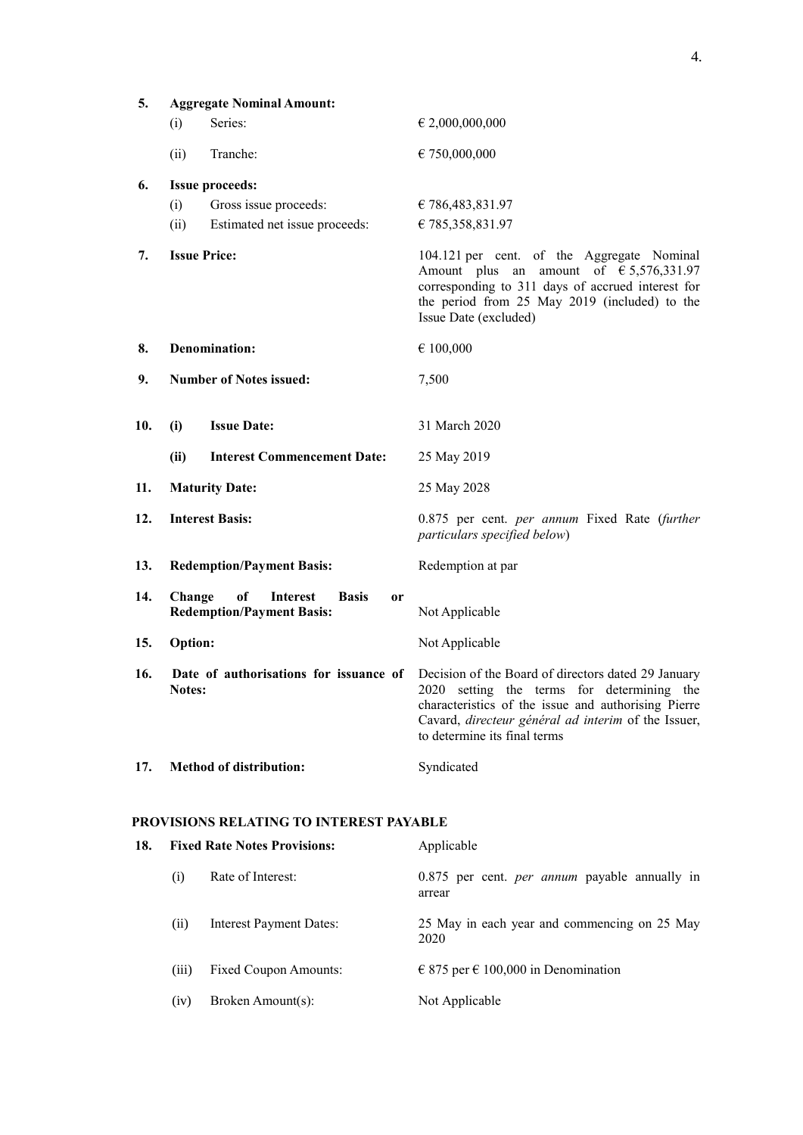| 5.  | <b>Aggregate Nominal Amount:</b> |                                                                                        |                                                                                                                                                                                                                                                                                        |
|-----|----------------------------------|----------------------------------------------------------------------------------------|----------------------------------------------------------------------------------------------------------------------------------------------------------------------------------------------------------------------------------------------------------------------------------------|
|     | (i)                              | Series:                                                                                | $\in 2,000,000,000$                                                                                                                                                                                                                                                                    |
|     | (ii)                             | Tranche:                                                                               | € 750,000,000                                                                                                                                                                                                                                                                          |
| 6.  | <b>Issue proceeds:</b>           |                                                                                        |                                                                                                                                                                                                                                                                                        |
|     | (i)                              | Gross issue proceeds:                                                                  | € 786,483,831.97                                                                                                                                                                                                                                                                       |
|     | (ii)                             | Estimated net issue proceeds:                                                          | € 785,358,831.97                                                                                                                                                                                                                                                                       |
| 7.  | <b>Issue Price:</b>              |                                                                                        | 104.121 per cent. of the Aggregate Nominal<br>amount of $\epsilon$ 5,576,331.97<br>Amount plus an<br>corresponding to 311 days of accrued interest for<br>the period from 25 May 2019 (included) to the<br>Issue Date (excluded)                                                       |
| 8.  |                                  | <b>Denomination:</b>                                                                   | € 100,000                                                                                                                                                                                                                                                                              |
| 9.  |                                  | <b>Number of Notes issued:</b>                                                         | 7,500                                                                                                                                                                                                                                                                                  |
| 10. | (i)                              | <b>Issue Date:</b>                                                                     | 31 March 2020                                                                                                                                                                                                                                                                          |
|     | (ii)                             | <b>Interest Commencement Date:</b>                                                     | 25 May 2019                                                                                                                                                                                                                                                                            |
| 11. | <b>Maturity Date:</b>            |                                                                                        | 25 May 2028                                                                                                                                                                                                                                                                            |
| 12. | <b>Interest Basis:</b>           |                                                                                        | 0.875 per cent. <i>per annum</i> Fixed Rate (further<br>particulars specified below)                                                                                                                                                                                                   |
| 13. |                                  | <b>Redemption/Payment Basis:</b>                                                       | Redemption at par                                                                                                                                                                                                                                                                      |
| 14. | Change                           | of<br><b>Interest</b><br><b>Basis</b><br><b>or</b><br><b>Redemption/Payment Basis:</b> | Not Applicable                                                                                                                                                                                                                                                                         |
| 15. | <b>Option:</b>                   |                                                                                        | Not Applicable                                                                                                                                                                                                                                                                         |
| 16. | <b>Notes:</b>                    |                                                                                        | Date of authorisations for issuance of Decision of the Board of directors dated 29 January<br>2020 setting the terms for determining the<br>characteristics of the issue and authorising Pierre<br>Cavard, directeur général ad interim of the Issuer,<br>to determine its final terms |
| 17. |                                  | <b>Method of distribution:</b>                                                         | Syndicated                                                                                                                                                                                                                                                                             |
|     |                                  | <b>PROVISIONS RELATING TO INTEREST PAYABLE</b>                                         |                                                                                                                                                                                                                                                                                        |
| 18. |                                  | <b>Fixed Rate Notes Provisions:</b>                                                    | Applicable                                                                                                                                                                                                                                                                             |
|     | (i)                              | Rate of Interest:                                                                      | 0.875 per cent. <i>per annum</i> payable annually in<br>arrear                                                                                                                                                                                                                         |
|     | (ii)                             | <b>Interest Payment Dates:</b>                                                         | 25 May in each year and commencing on 25 May<br>2020                                                                                                                                                                                                                                   |
|     | (iii)                            | <b>Fixed Coupon Amounts:</b>                                                           | € 875 per € 100,000 in Denomination                                                                                                                                                                                                                                                    |

(iv) Broken Amount(s): Not Applicable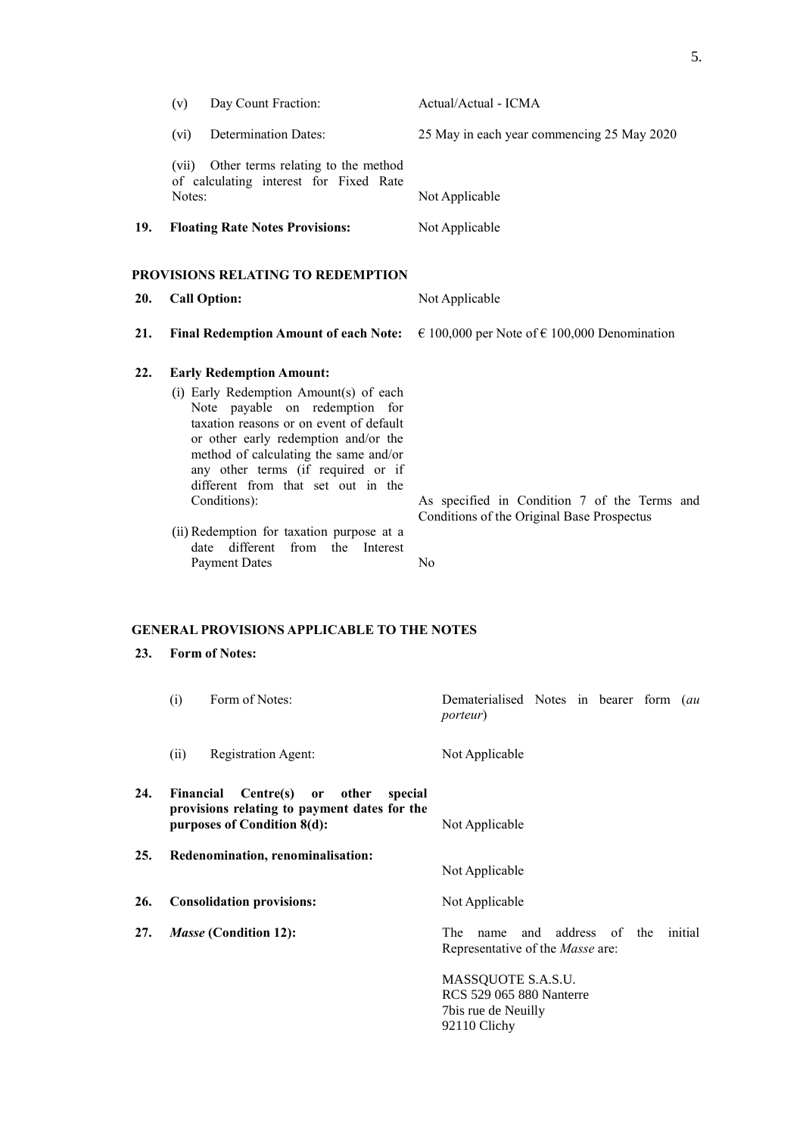|            | Day Count Fraction:<br>(v)                                                                                                                                                                                                                                                                                                                                                                                                                                                                                                    | Actual/Actual - ICMA                                                                                         |
|------------|-------------------------------------------------------------------------------------------------------------------------------------------------------------------------------------------------------------------------------------------------------------------------------------------------------------------------------------------------------------------------------------------------------------------------------------------------------------------------------------------------------------------------------|--------------------------------------------------------------------------------------------------------------|
|            | <b>Determination Dates:</b><br>(vi)                                                                                                                                                                                                                                                                                                                                                                                                                                                                                           | 25 May in each year commencing 25 May 2020                                                                   |
|            | (vii) Other terms relating to the method<br>of calculating interest for Fixed Rate<br>Notes:                                                                                                                                                                                                                                                                                                                                                                                                                                  | Not Applicable                                                                                               |
| 19.        | <b>Floating Rate Notes Provisions:</b>                                                                                                                                                                                                                                                                                                                                                                                                                                                                                        | Not Applicable                                                                                               |
|            | PROVISIONS RELATING TO REDEMPTION                                                                                                                                                                                                                                                                                                                                                                                                                                                                                             |                                                                                                              |
| 20.        | <b>Call Option:</b>                                                                                                                                                                                                                                                                                                                                                                                                                                                                                                           | Not Applicable                                                                                               |
| 21.        | <b>Final Redemption Amount of each Note:</b>                                                                                                                                                                                                                                                                                                                                                                                                                                                                                  | € 100,000 per Note of € 100,000 Denomination                                                                 |
| 22.<br>23. | <b>Early Redemption Amount:</b><br>(i) Early Redemption Amount(s) of each<br>Note payable on redemption for<br>taxation reasons or on event of default<br>or other early redemption and/or the<br>method of calculating the same and/or<br>any other terms (if required or if<br>different from that set out in the<br>Conditions):<br>(ii) Redemption for taxation purpose at a<br>date different<br>from the Interest<br><b>Payment Dates</b><br><b>GENERAL PROVISIONS APPLICABLE TO THE NOTES</b><br><b>Form of Notes:</b> | As specified in Condition 7 of the Terms and<br>Conditions of the Original Base Prospectus<br>N <sub>0</sub> |
|            | Form of Notes:<br>(i)                                                                                                                                                                                                                                                                                                                                                                                                                                                                                                         | Dematerialised Notes in bearer form (au<br><i>porteur</i> )                                                  |

#### **23. Form of Notes:**

|     | (1)<br>FORM OF NOTES:                                                                                                     | Dematerialised Notes in bearer form ( <i>au</i><br><i>porteur</i> )               |
|-----|---------------------------------------------------------------------------------------------------------------------------|-----------------------------------------------------------------------------------|
|     | (ii)<br>Registration Agent:                                                                                               | Not Applicable                                                                    |
| 24. | Centre(s) or other<br>Financial<br>special<br>provisions relating to payment dates for the<br>purposes of Condition 8(d): | Not Applicable                                                                    |
| 25. | Redenomination, renominalisation:                                                                                         | Not Applicable                                                                    |
| 26. | <b>Consolidation provisions:</b>                                                                                          | Not Applicable                                                                    |
| 27. | <i>Masse</i> (Condition 12):                                                                                              | name and address of the initial<br>The<br>Representative of the <i>Masse</i> are: |
|     |                                                                                                                           | MASSQUOTE S.A.S.U.<br><b>RCS 529 065 880 Nanterre</b><br>7 bis rue de Neuilly     |

92110 Clichy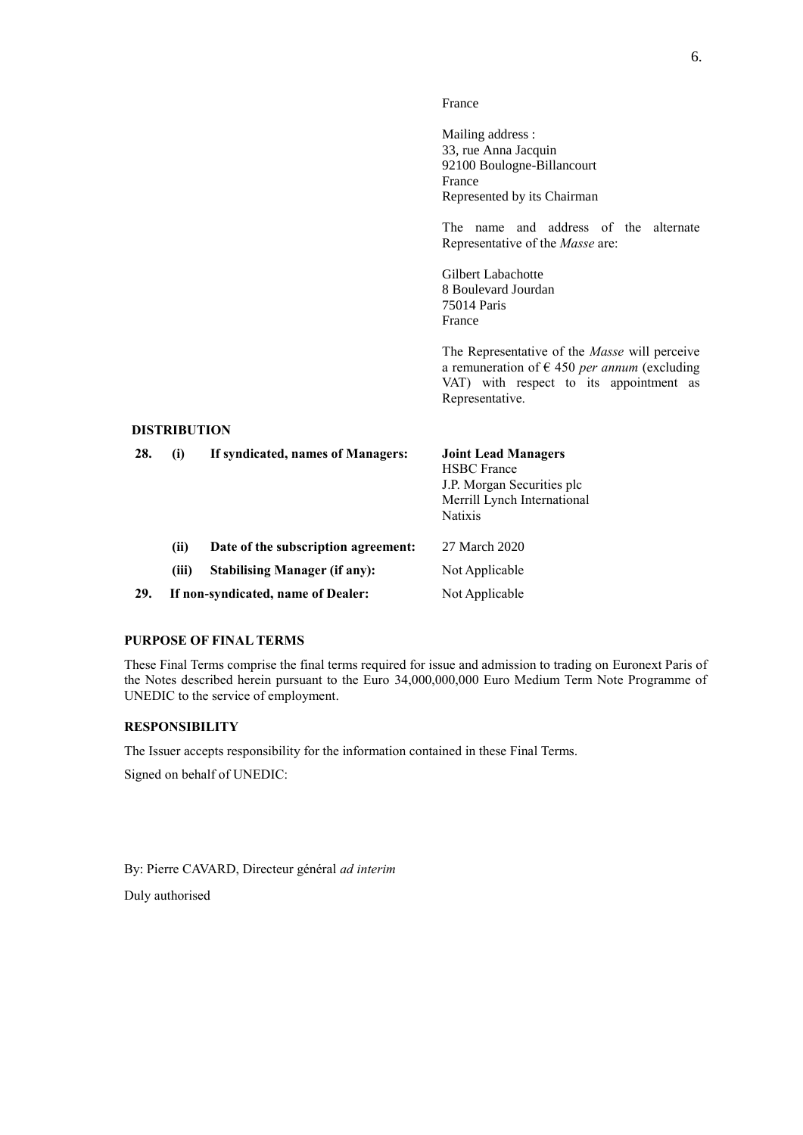#### France

Mailing address : 33, rue Anna Jacquin 92100 Boulogne-Billancourt France Represented by its Chairman

The name and address of the alternate Representative of the *Masse* are:

Gilbert Labachotte 8 Boulevard Jourdan 75014 Paris France

The Representative of the *Masse* will perceive a remuneration of € 450 *per annum* (excluding VAT) with respect to its appointment as Representative.

### **DISTRIBUTION**

| 28. | $\mathbf{u}$ | If syndicated, names of Managers:    | <b>Joint Lead Managers</b><br><b>HSBC</b> France<br>J.P. Morgan Securities plc<br>Merrill Lynch International<br><b>Natixis</b> |
|-----|--------------|--------------------------------------|---------------------------------------------------------------------------------------------------------------------------------|
|     | (ii)         | Date of the subscription agreement:  | 27 March 2020                                                                                                                   |
|     | (iii)        | <b>Stabilising Manager (if any):</b> | Not Applicable                                                                                                                  |
| 29. |              | If non-syndicated, name of Dealer:   | Not Applicable                                                                                                                  |

### **PURPOSE OF FINAL TERMS**

These Final Terms comprise the final terms required for issue and admission to trading on Euronext Paris of the Notes described herein pursuant to the Euro 34,000,000,000 Euro Medium Term Note Programme of UNEDIC to the service of employment.

#### **RESPONSIBILITY**

The Issuer accepts responsibility for the information contained in these Final Terms.

Signed on behalf of UNEDIC:

By: Pierre CAVARD, Directeur général *ad interim*

Duly authorised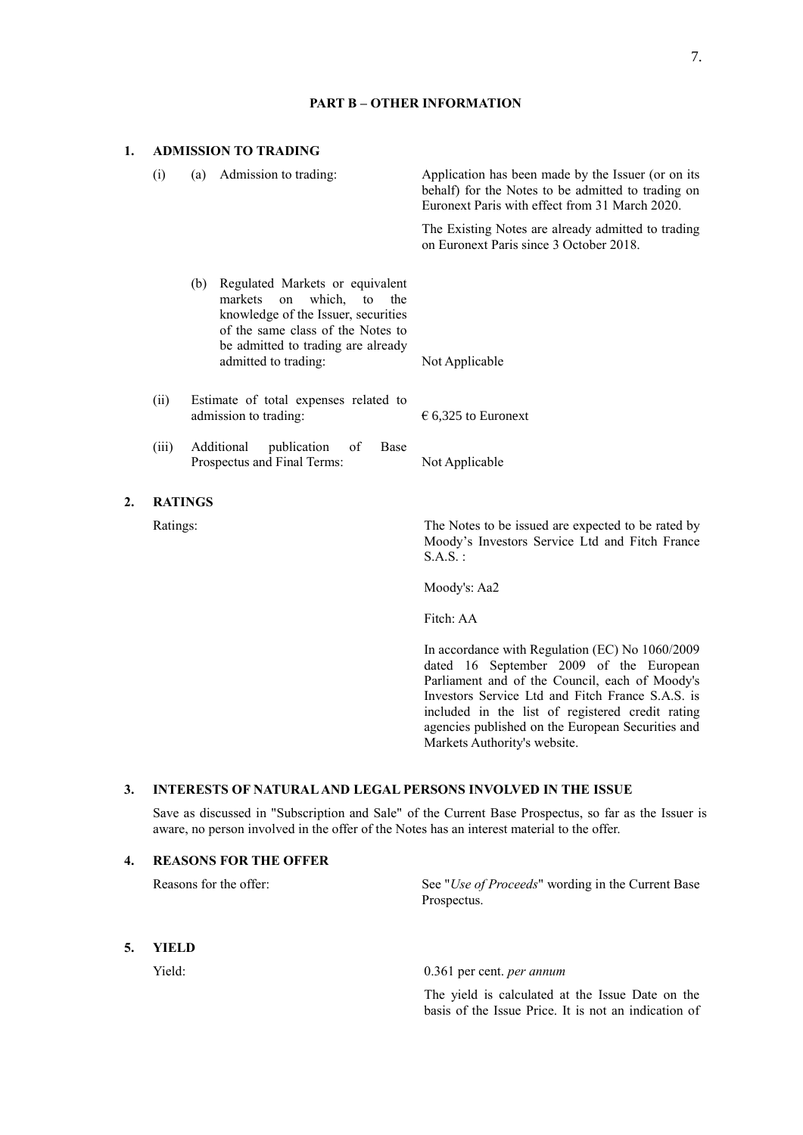### **1. ADMISSION TO TRADING**

**2.** 

| (i)            | Admission to trading:<br>(a)                                                                                                                                                            | Application has been made by the Issuer (or on its<br>behalf) for the Notes to be admitted to trading on<br>Euronext Paris with effect from 31 March 2020. |
|----------------|-----------------------------------------------------------------------------------------------------------------------------------------------------------------------------------------|------------------------------------------------------------------------------------------------------------------------------------------------------------|
|                |                                                                                                                                                                                         | The Existing Notes are already admitted to trading<br>on Euronext Paris since 3 October 2018.                                                              |
|                | Regulated Markets or equivalent<br>(b)<br>markets on<br>which, to the<br>knowledge of the Issuer, securities<br>of the same class of the Notes to<br>be admitted to trading are already |                                                                                                                                                            |
|                | admitted to trading:                                                                                                                                                                    | Not Applicable                                                                                                                                             |
| (ii)           | Estimate of total expenses related to<br>admission to trading:                                                                                                                          | $\epsilon$ 6,325 to Euronext                                                                                                                               |
| (iii)          | Additional<br>publication<br>of<br>Base<br>Prospectus and Final Terms:                                                                                                                  | Not Applicable                                                                                                                                             |
| <b>RATINGS</b> |                                                                                                                                                                                         |                                                                                                                                                            |
| Ratings:       |                                                                                                                                                                                         | The Notes to be issued are expected to be rated by<br>Moody's Investors Service Ltd and Fitch France<br>$S.A.S.$ :                                         |
|                |                                                                                                                                                                                         | $\overline{11}$ $\overline{11}$ $\overline{12}$                                                                                                            |

**PART B – OTHER INFORMATION**

Moody's: Aa2

Fitch: AA

In accordance with Regulation (EC) No 1060/2009 dated 16 September 2009 of the European Parliament and of the Council, each of Moody's Investors Service Ltd and Fitch France S.A.S. is included in the list of registered credit rating agencies published on the European Securities and Markets Authority's website.

## **3. INTERESTS OF NATURAL AND LEGAL PERSONS INVOLVED IN THE ISSUE**

Save as discussed in "Subscription and Sale" of the Current Base Prospectus, so far as the Issuer is aware, no person involved in the offer of the Notes has an interest material to the offer.

## **4. REASONS FOR THE OFFER** Reasons for the offer: See "*Use of Proceeds*" wording in the Current Base Prospectus. **5. YIELD** Yield: 0.361 per cent. *per annum*

The yield is calculated at the Issue Date on the basis of the Issue Price. It is not an indication of